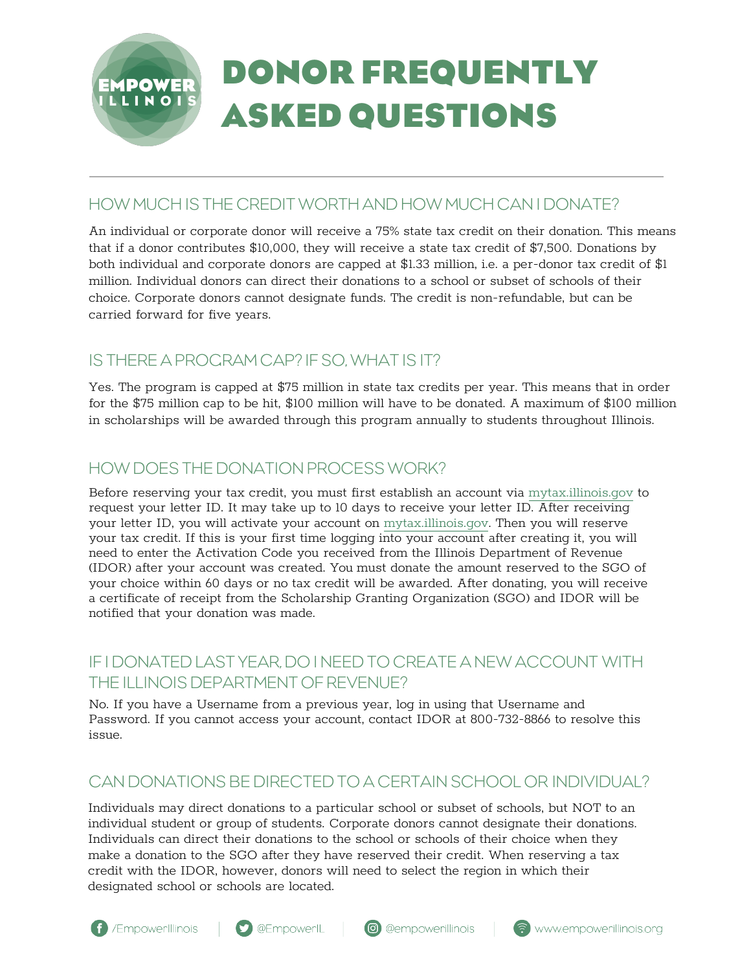

## HOW MUCH IS THE CREDIT WORTH AND HOW MUCH CAN I DONATE?

An individual or corporate donor will receive a 75% state tax credit on their donation. This means that if a donor contributes \$10,000, they will receive a state tax credit of \$7,500. Donations by both individual and corporate donors are capped at \$1.33 million, i.e. a per-donor tax credit of \$1 million. Individual donors can direct their donations to a school or subset of schools of their choice. Corporate donors cannot designate funds. The credit is non-refundable, but can be carried forward for five years.

# IS THERE A PROGRAM CAP? IF SO, WHAT IS IT?

Yes. The program is capped at \$75 million in state tax credits per year. This means that in order for the \$75 million cap to be hit, \$100 million will have to be donated. A maximum of \$100 million in scholarships will be awarded through this program annually to students throughout Illinois.

# HOW DOES THE DONATION PROCESS WORK?

Before reserving your tax credit, you must first establish an account via <mytax.illinois.gov>to request your letter ID. It may take up to 10 days to receive your letter ID. After receiving your letter ID, you will activate your account on <mytax.illinois.gov>. Then you will reserve your tax credit. If this is your first time logging into your account after creating it, you will need to enter the Activation Code you received from the Illinois Department of Revenue (IDOR) after your account was created. You must donate the amount reserved to the SGO of your choice within 60 days or no tax credit will be awarded. After donating, you will receive a certificate of receipt from the Scholarship Granting Organization (SGO) and IDOR will be notified that your donation was made.

# IF I DONATED LAST YEAR, DO I NEED TO CREATE A NEW ACCOUNT WITH THE ILLINOIS DEPARTMENT OF REVENUE?

No. If you have a Username from a previous year, log in using that Username and Password. If you cannot access your account, contact IDOR at 800-732-8866 to resolve this issue.

# CAN DONATIONS BE DIRECTED TO A CERTAIN SCHOOL OR INDIVIDUAL?

Individuals may direct donations to a particular school or subset of schools, but NOT to an individual student or group of students. Corporate donors cannot designate their donations. Individuals can direct their donations to the school or schools of their choice when they make a donation to the SGO after they have reserved their credit. When reserving a tax credit with the IDOR, however, donors will need to select the region in which their designated school or schools are located.







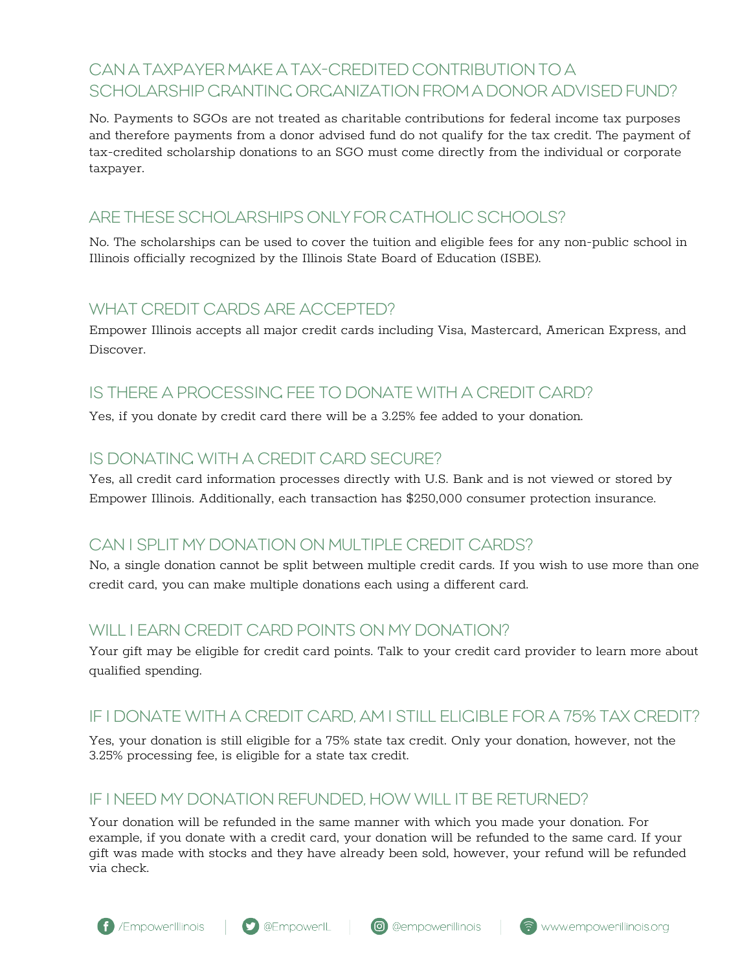# CAN A TAXPAYER MAKE A TAX-CREDITED CONTRIBUTION TO A SCHOLARSHIP CRANTING ORGANIZATION FROM A DONOR ADVISED FUND?

No. Payments to SGOs are not treated as charitable contributions for federal income tax purposes and therefore payments from a donor advised fund do not qualify for the tax credit. The payment of tax-credited scholarship donations to an SGO must come directly from the individual or corporate taxpayer.

## ARE THESE SCHOLARSHIPS ONLY FOR CATHOLIC SCHOOLS?

No. The scholarships can be used to cover the tuition and eligible fees for any non-public school in Illinois officially recognized by the Illinois State Board of Education (ISBE).

### WHAT CREDIT CARDS ARE ACCEPTED?

Empower Illinois accepts all major credit cards including Visa, Mastercard, American Express, and Discover.

# IS THERE A PROCESSING FEE TO DONATE WITH A CREDIT CARD?

Yes, if you donate by credit card there will be a 3.25% fee added to your donation.

### IS DONATING WITH A CREDIT CARD SECURE?

Yes, all credit card information processes directly with U.S. Bank and is not viewed or stored by Empower Illinois. Additionally, each transaction has \$250,000 consumer protection insurance.

# CAN I SPLIT MY DONATION ON MULTIPLE CREDIT CARDS?

No, a single donation cannot be split between multiple credit cards. If you wish to use more than one credit card, you can make multiple donations each using a different card.

### WILL LEARN CREDIT CARD POINTS ON MY DONATION?

Your gift may be eligible for credit card points. Talk to your credit card provider to learn more about qualified spending.

# IF I DONATE WITH A CREDIT CARD, AM I STILL ELIGIBLE FOR A 75% TAX CREDIT?

Yes, your donation is still eligible for a 75% state tax credit. Only your donation, however, not the 3.25% processing fee, is eligible for a state tax credit.

#### IF I NEED MY DONATION REFUNDED, HOW WILL IT BE RETURNED?

Your donation will be refunded in the same manner with which you made your donation. For example, if you donate with a credit card, your donation will be refunded to the same card. If your gift was made with stocks and they have already been sold, however, your refund will be refunded via check.





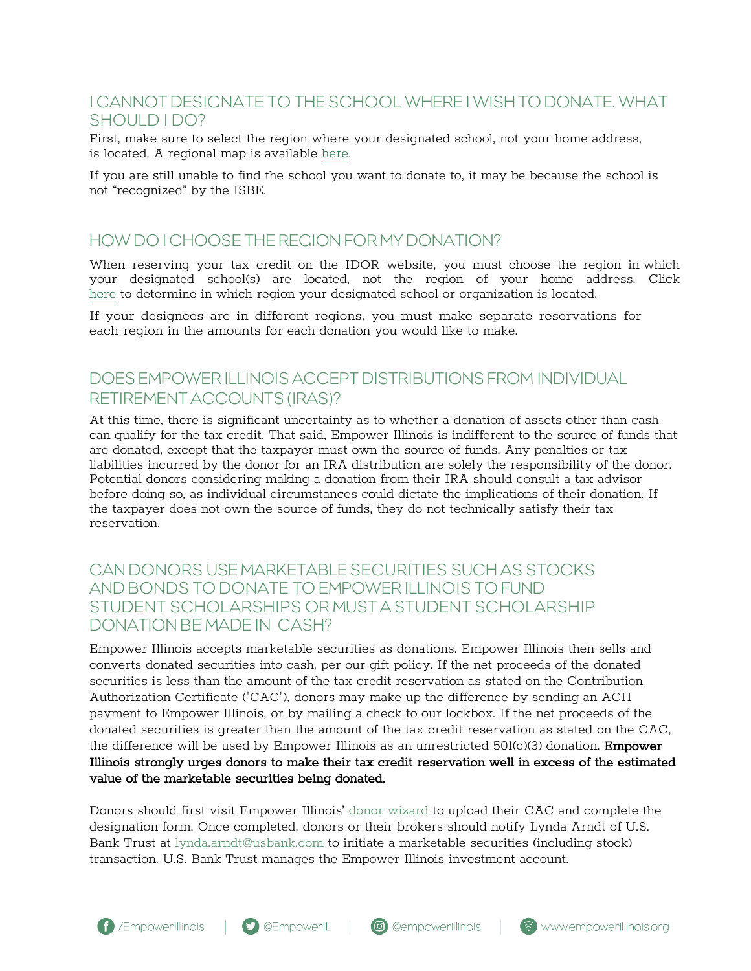### I CANNOT DESIGNATE TO THE SCHOOL WHERE I WISH TO DONATE. WHAT SHOULD LDO?

First, make sure to select the region where your designated school, not your home address, is located. A regional map is availabl[e here](https://www2.illinois.gov/rev/programs/InvestInKids/Pages/Regions.aspx).

If you are still unable to find the school you want to donate to, it may be because the school is not "recognized" by the ISBE.

#### HOW DO I CHOOSE THE REGION FOR MY DONATION?

When reserving your tax credit on the IDOR website, you must choose the region in which your designated school(s) are located, not the region of your home address. Click [here](https://empowerillinois.org/donors/schools-school-systems-scholarship-funds/) to determine in which region your designated school or organization is located.

If your designees are in different regions, you must make separate reservations for each region in the amounts for each donation you would like to make.

## DOES EMPOWER ILLINOIS ACCEPT DISTRIBUTIONS FROM INDIVIDUAL RETIREMENT ACCOUNTS (IRAS)?

At this time, there is significant uncertainty as to whether a donation of assets other than cash can qualify for the tax credit. That said, Empower Illinois is indifferent to the source of funds that are donated, except that the taxpayer must own the source of funds. Any penalties or tax liabilities incurred by the donor for an IRA distribution are solely the responsibility of the donor. Potential donors considering making a donation from their IRA should consult a tax advisor before doing so, as individual circumstances could dictate the implications of their donation. If the taxpayer does not own the source of funds, they do not technically satisfy their tax reservation.

#### CAN DONORS USE MARKETABLE SECURITIES SUCH AS STOCKS AND BONDS TO DONATE TO EMPOWER ILLINOIS TO FUND STUDENT SCHOLARSHIPS OR MUST A STUDENT SCHOLARSHIP DONATION BE MADE IN CASH?

Empower Illinois accepts marketable securities as donations. Empower Illinois then sells and converts donated securities into cash, per our gift policy. If the net proceeds of the donated securities is less than the amount of the tax credit reservation as stated on the Contribution Authorization Certificate ("CAC"), donors may make up the difference by sending an ACH payment to Empower Illinois, or by mailing a check to our lockbox. If the net proceeds of the donated securities is greater than the amount of the tax credit reservation as stated on the CAC, the difference will be used by Empower Illinois as an unrestricted  $501(c)(3)$  donation. **Empower** Illinois strongly urges donors to make their tax credit reservation well in excess of the estimated value of the marketable securities being donated.

Donors should first visit Empower Illinois' [donor wizard](https://donations.empowerillinois.org/donations) to upload their CAC and complete the designation form. Once completed, donors or their brokers should notify Lynda Arndt of U.S. Bank Trust at [lynda.arndt@usbank.com](mailto:lynda.arndt@usbank.com) to initiate a marketable securities (including stock) transaction. U.S. Bank Trust manages the Empower Illinois investment account.



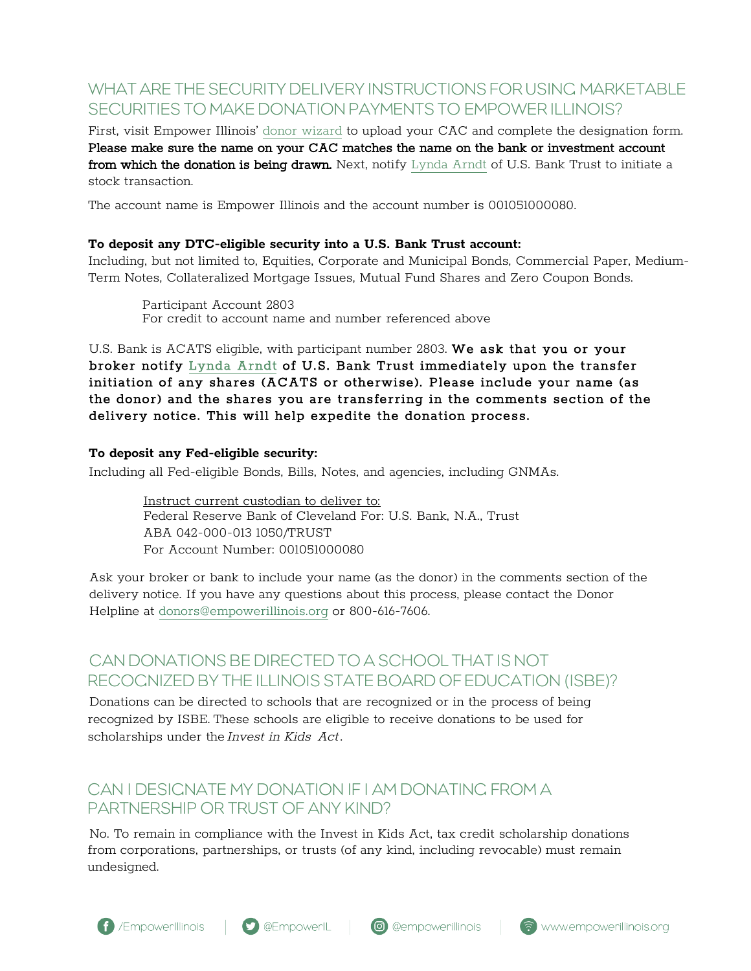# WHAT ARE THE SECURITY DELIVERY INSTRUCTIONS FOR USING MARKETABLE SECURITIES TO MAKE DONATION PAYMENTS TO EMPOWER ILLINOIS?

First, visit Empower Illinois' [donor wizard](https://donations.empowerillinois.org/donations) to upload your CAC and complete the designation form. Please make sure the name on your CAC matches the name on the bank or investment account from which the donation is being drawn. Next, notify [Lynda Arndt](mailto:lynda.arndt@usbank.com) of U.S. Bank Trust to initiate a stock transaction.

The account name is Empower Illinois and the account number is 001051000080.

#### **To deposit any DTC-eligible security into a U.S. Bank Trust account:**

Including, but not limited to, Equities, Corporate and Municipal Bonds, Commercial Paper, Medium-Term Notes, Collateralized Mortgage Issues, Mutual Fund Shares and Zero Coupon Bonds.

Participant Account 2803 For credit to account name and number referenced above

U.S. Bank is ACATS eligible, with participant number 2803. We ask that you or your broker notify [Lynda Arndt](mailto:lynda.arndt@usbank.com) of U.S. Bank Trust immediately upon the transfer initiation of any shares (ACATS or otherwise). Please include your name (as the donor) and the shares you are transferring in the comments section of the delivery notice. This will help expedite the donation process.

#### **To deposit any Fed-eligible security:**

Including all Fed-eligible Bonds, Bills, Notes, and agencies, including GNMAs.

Instruct current custodian to deliver to: Federal Reserve Bank of Cleveland For: U.S. Bank, N.A., Trust ABA 042-000-013 1050/TRUST For Account Number: 001051000080

Ask your broker or bank to include your name (as the donor) in the comments section of the delivery notice. If you have any questions about this process, please contact the Donor Helpline at donors@empowerillinois.org or 800-616-7606.

# CAN DONATIONS BE DIRECTED TO A SCHOOL THAT IS NOT RECOGNIZED BY THE ILLINOIS STATE BOARD OF EDUCATION (ISBE)?

Donations can be directed to schools that are recognized or in the process of being recognized by ISBE. These schools are eligible to receive donations to be used for scholarships under the Invest in Kids Act.

### CAN I DESIGNATE MY DONATION IF I AM DONATING FROM A PARTNERSHIP OR TRUST OF ANY KIND?

No. To remain in compliance with the Invest in Kids Act, tax credit scholarship donations from corporations, partnerships, or trusts (of any kind, including revocable) must remain undesigned.